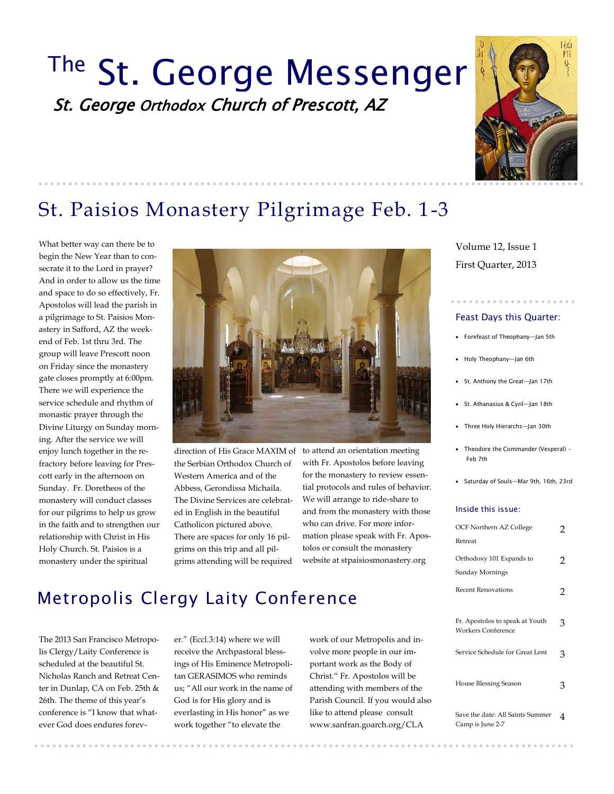# The St. George Messenger St. George Orthodox Church of Prescott, AZ



## St. Paisios Monastery Pilgrimage Feb. 1-3

What better way can there be to begin the New Year than to consecrate it to the Lord in prayer? And in order to allow us the time and space to do so effectively, Fr. Apostolos will lead the parish in a pilgrimage to St. Paisios Monastery in Safford, AZ the weekend of Feb. 1st thru 3rd. The group will leave Prescott noon on Friday since the monastery gate closes promptly at 6:00pm. There we will experience the service schedule and rhythm of monastic prayer through the Divine Liturgy on Sunday morning. After the service we will enjoy lunch together in the refractory before leaving for Prescott early in the afternoon on Sunday. Fr. Doretheos of the monastery will conduct classes for our pilgrims to help us grow in the faith and to strengthen our relationship with Christ in His Holy Church. St. Paisios is a monastery under the spiritual



direction of His Grace MAXIM of the Serbian Orthodox Church of Western America and of the Abbess, Gerondissa Michaila. The Divine Services are celebrated in English in the beautiful Catholicon pictured above. There are spaces for only 16 pilgrims on this trip and all pilgrims attending will be required

to attend an orientation meeting with Fr. Apostolos before leaving for the monastery to review essential protocols and rules of behavior. We will arrange to ride-share to and from the monastery with those who can drive. For more information please speak with Fr. Apostolos or consult the monastery website at stpaisiosmonastery.org

## Metropolis Clergy Laity Conference

The 2013 San Francisco Metropolis Clergy/Laity Conference is scheduled at the beautiful St. Nicholas Ranch and Retreat Center in Dunlap, CA on Feb. 25th & 26th. The theme of this year's conference is "I know that whatever God does endures forev-

er." (Eccl.3:14) where we will receive the Archpastoral blessings of His Eminence Metropolitan GERASIMOS who reminds us; "All our work in the name of God is for His glory and is everlasting in His honor" as we work together "to elevate the

work of our Metropolis and involve more people in our important work as the Body of Christ." Fr. Apostolos will be attending with members of the Parish Council. If you would also like to attend please consult www.sanfran.goarch.org/CLA

First Quarter, 2013 Volume 12, Issue 1

#### Feast Days this Quarter:

- Forefeast of Theophany—Jan 5th
- Holy Theophany—Jan 6th
- St. Anthony the Great—Jan 17th
- St. Athanasius & Cyril—Jan 18th
- Three Holy Hierarchs—Jan 30th
- Theodore the Commander (Vesperal) Feb 7th
- Saturday of Souls—Mar 9th, 16th, 23rd

#### Inside this issue:

| OCF Northern AZ College<br>Retreat                           | 2 |
|--------------------------------------------------------------|---|
| Orthodoxy 101 Expands to<br>Sunday Mornings                  | 2 |
| <b>Recent Renovations</b>                                    | 2 |
| Fr. Apostolos to speak at Youth<br><b>Workers Conference</b> | З |
| Service Schedule for Great Lent                              | З |
| House Blessing Season                                        | З |
| Save the date: All Saints Summer<br>Camp is June 2-7         | 4 |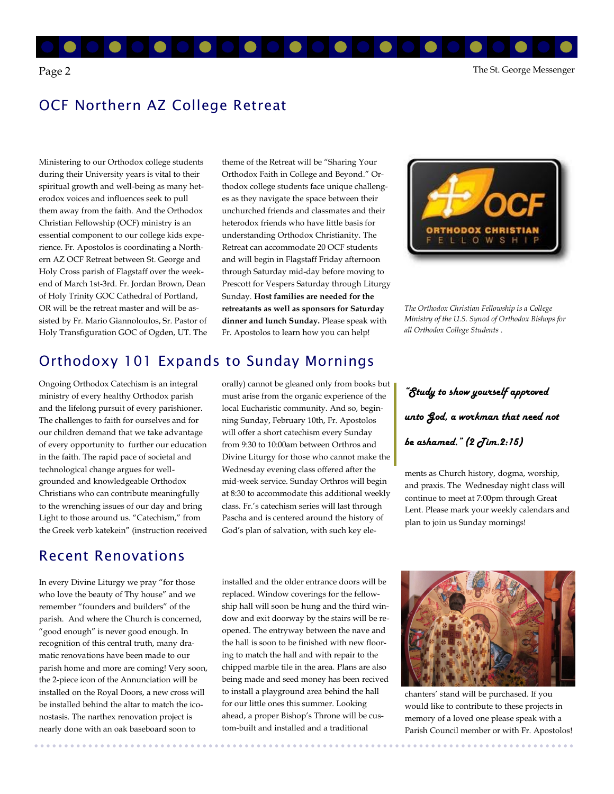

### OCF Northern AZ College Retreat

Ministering to our Orthodox college students during their University years is vital to their spiritual growth and well-being as many heterodox voices and influences seek to pull them away from the faith. And the Orthodox Christian Fellowship (OCF) ministry is an essential component to our college kids experience. Fr. Apostolos is coordinating a Northern AZ OCF Retreat between St. George and Holy Cross parish of Flagstaff over the weekend of March 1st-3rd. Fr. Jordan Brown, Dean of Holy Trinity GOC Cathedral of Portland, OR will be the retreat master and will be assisted by Fr. Mario Giannoloulos, Sr. Pastor of Holy Transfiguration GOC of Ogden, UT. The theme of the Retreat will be "Sharing Your Orthodox Faith in College and Beyond." Orthodox college students face unique challenges as they navigate the space between their unchurched friends and classmates and their heterodox friends who have little basis for understanding Orthodox Christianity. The Retreat can accommodate 20 OCF students and will begin in Flagstaff Friday afternoon through Saturday mid-day before moving to Prescott for Vespers Saturday through Liturgy Sunday. **Host families are needed for the retreatants as well as sponsors for Saturday dinner and lunch Sunday.** Please speak with Fr. Apostolos to learn how you can help!



*The Orthodox Christian Fellowship is a College Ministry of the U.S. Synod of Orthodox Bishops for all Orthodox College Students* .

#### Orthodoxy 101 Expands to Sunday Mornings

Ongoing Orthodox Catechism is an integral ministry of every healthy Orthodox parish and the lifelong pursuit of every parishioner. The challenges to faith for ourselves and for our children demand that we take advantage of every opportunity to further our education in the faith. The rapid pace of societal and technological change argues for wellgrounded and knowledgeable Orthodox Christians who can contribute meaningfully to the wrenching issues of our day and bring Light to those around us. "Catechism," from the Greek verb katekein" (instruction received

#### Recent Renovations

In every Divine Liturgy we pray "for those who love the beauty of Thy house" and we remember "founders and builders" of the parish. And where the Church is concerned, "good enough" is never good enough. In recognition of this central truth, many dramatic renovations have been made to our parish home and more are coming! Very soon, the 2-piece icon of the Annunciation will be installed on the Royal Doors, a new cross will be installed behind the altar to match the iconostasis. The narthex renovation project is nearly done with an oak baseboard soon to

orally) cannot be gleaned only from books but must arise from the organic experience of the local Eucharistic community. And so, beginning Sunday, February 10th, Fr. Apostolos will offer a short catechism every Sunday from 9:30 to 10:00am between Orthros and Divine Liturgy for those who cannot make the Wednesday evening class offered after the mid-week service. Sunday Orthros will begin at 8:30 to accommodate this additional weekly class. Fr.'s catechism series will last through Pascha and is centered around the history of God's plan of salvation, with such key ele-

installed and the older entrance doors will be replaced. Window coverings for the fellowship hall will soon be hung and the third window and exit doorway by the stairs will be reopened. The entryway between the nave and the hall is soon to be finished with new flooring to match the hall and with repair to the chipped marble tile in the area. Plans are also being made and seed money has been recived to install a playground area behind the hall for our little ones this summer. Looking ahead, a proper Bishop's Throne will be custom-built and installed and a traditional

*"Study to show yourself approved unto God, a workman that need not be ashamed." (2 Tim.2:15)*

ments as Church history, dogma, worship, and praxis. The Wednesday night class will continue to meet at 7:00pm through Great Lent. Please mark your weekly calendars and plan to join us Sunday mornings!



chanters' stand will be purchased. If you would like to contribute to these projects in memory of a loved one please speak with a Parish Council member or with Fr. Apostolos!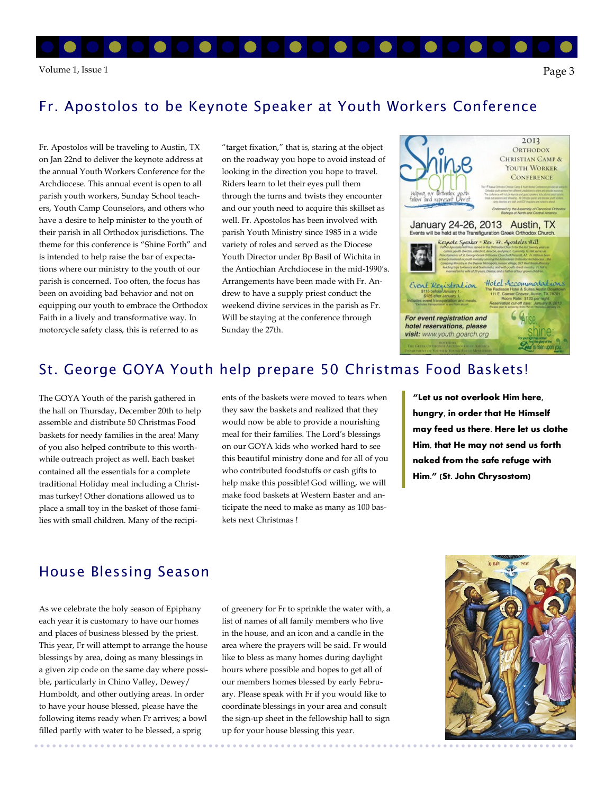## Fr. Apostolos to be Keynote Speaker at Youth Workers Conference

Fr. Apostolos will be traveling to Austin, TX on Jan 22nd to deliver the keynote address at the annual Youth Workers Conference for the Archdiocese. This annual event is open to all parish youth workers, Sunday School teachers, Youth Camp Counselors, and others who have a desire to help minister to the youth of their parish in all Orthodox jurisdictions. The theme for this conference is "Shine Forth" and is intended to help raise the bar of expectations where our ministry to the youth of our parish is concerned. Too often, the focus has been on avoiding bad behavior and not on equipping our youth to embrace the Orthodox Faith in a lively and transformative way. In motorcycle safety class, this is referred to as

"target fixation," that is, staring at the object on the roadway you hope to avoid instead of looking in the direction you hope to travel. Riders learn to let their eyes pull them through the turns and twists they encounter and our youth need to acquire this skillset as well. Fr. Apostolos has been involved with parish Youth Ministry since 1985 in a wide variety of roles and served as the Diocese Youth Director under Bp Basil of Wichita in the Antiochian Archdiocese in the mid-1990's. Arrangements have been made with Fr. Andrew to have a supply priest conduct the weekend divine services in the parish as Fr. Will be staying at the conference through Sunday the 27th.



### St. George GOYA Youth help prepare 50 Christmas Food Baskets!

The GOYA Youth of the parish gathered in the hall on Thursday, December 20th to help assemble and distribute 50 Christmas Food baskets for needy families in the area! Many of you also helped contribute to this worthwhile outreach project as well. Each basket contained all the essentials for a complete traditional Holiday meal including a Christmas turkey! Other donations allowed us to place a small toy in the basket of those families with small children. Many of the recipients of the baskets were moved to tears when they saw the baskets and realized that they would now be able to provide a nourishing meal for their families. The Lord's blessings on our GOYA kids who worked hard to see this beautiful ministry done and for all of you who contributed foodstuffs or cash gifts to help make this possible! God willing, we will make food baskets at Western Easter and anticipate the need to make as many as 100 baskets next Christmas !

**"Let us not overlook Him here, hungry, in order that He Himself may feed us there. Here let us clothe Him, that He may not send us forth naked from the safe refuge with Him." (St. John Chrysostom)** 

#### House Blessing Season

As we celebrate the holy season of Epiphany each year it is customary to have our homes and places of business blessed by the priest. This year, Fr will attempt to arrange the house blessings by area, doing as many blessings in a given zip code on the same day where possible, particularly in Chino Valley, Dewey/ Humboldt, and other outlying areas. In order to have your house blessed, please have the following items ready when Fr arrives; a bowl filled partly with water to be blessed, a sprig

of greenery for Fr to sprinkle the water with, a list of names of all family members who live in the house, and an icon and a candle in the area where the prayers will be said. Fr would like to bless as many homes during daylight hours where possible and hopes to get all of our members homes blessed by early February. Please speak with Fr if you would like to coordinate blessings in your area and consult the sign-up sheet in the fellowship hall to sign up for your house blessing this year.